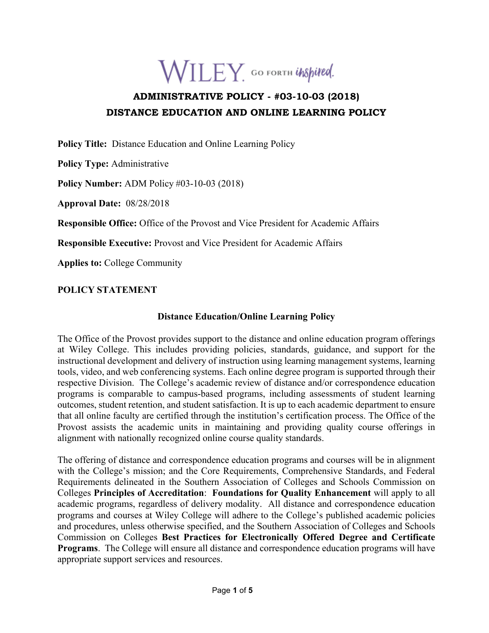

# **ADMINISTRATIVE POLICY - #03-10-03 (2018) DISTANCE EDUCATION AND ONLINE LEARNING POLICY**

**Policy Title:** Distance Education and Online Learning Policy

**Policy Type:** Administrative

**Policy Number:** ADM Policy #03-10-03 (2018)

**Approval Date:** 08/28/2018

**Responsible Office:** Office of the Provost and Vice President for Academic Affairs

**Responsible Executive:** Provost and Vice President for Academic Affairs

**Applies to:** College Community

## **POLICY STATEMENT**

## **Distance Education/Online Learning Policy**

The Office of the Provost provides support to the distance and online education program offerings at Wiley College. This includes providing policies, standards, guidance, and support for the instructional development and delivery of instruction using learning management systems, learning tools, video, and web conferencing systems. Each online degree program is supported through their respective Division. The College's academic review of distance and/or correspondence education programs is comparable to campus-based programs, including assessments of student learning outcomes, student retention, and student satisfaction. It is up to each academic department to ensure that all online faculty are certified through the institution's certification process. The Office of the Provost assists the academic units in maintaining and providing quality course offerings in alignment with nationally recognized online course quality standards.

The offering of distance and correspondence education programs and courses will be in alignment with the College's mission; and the Core Requirements, Comprehensive Standards, and Federal Requirements delineated in the Southern Association of Colleges and Schools Commission on Colleges **Principles of Accreditation**: **Foundations for Quality Enhancement** will apply to all academic programs, regardless of delivery modality. All distance and correspondence education programs and courses at Wiley College will adhere to the College's published academic policies and procedures, unless otherwise specified, and the Southern Association of Colleges and Schools Commission on Colleges **Best Practices for Electronically Offered Degree and Certificate Programs**. The College will ensure all distance and correspondence education programs will have appropriate support services and resources.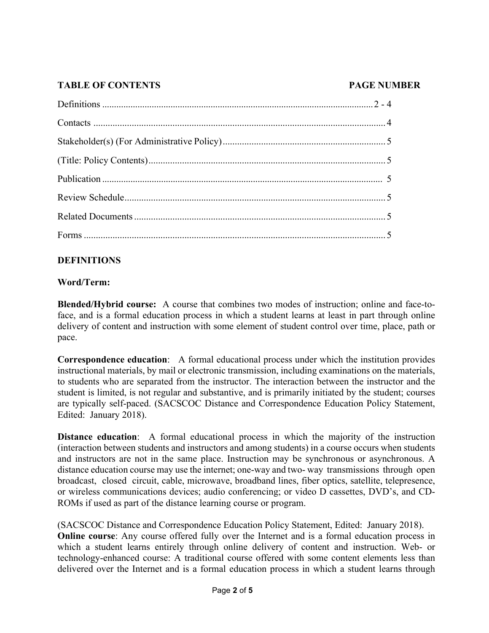# **TABLE OF CONTENTS PAGE NUMBER**

# **DEFINITIONS**

# **Word/Term:**

**Blended/Hybrid course:** A course that combines two modes of instruction; online and face-toface, and is a formal education process in which a student learns at least in part through online delivery of content and instruction with some element of student control over time, place, path or pace.

**Correspondence education**: A formal educational process under which the institution provides instructional materials, by mail or electronic transmission, including examinations on the materials, to students who are separated from the instructor. The interaction between the instructor and the student is limited, is not regular and substantive, and is primarily initiated by the student; courses are typically self-paced. (SACSCOC Distance and Correspondence Education Policy Statement, Edited: January 2018).

**Distance education**: A formal educational process in which the majority of the instruction (interaction between students and instructors and among students) in a course occurs when students and instructors are not in the same place. Instruction may be synchronous or asynchronous. A distance education course may use the internet; one-way and two- way transmissions through open broadcast, closed circuit, cable, microwave, broadband lines, fiber optics, satellite, telepresence, or wireless communications devices; audio conferencing; or video D cassettes, DVD's, and CD-ROMs if used as part of the distance learning course or program.

(SACSCOC Distance and Correspondence Education Policy Statement, Edited: January 2018). **Online course**: Any course offered fully over the Internet and is a formal education process in which a student learns entirely through online delivery of content and instruction. Web- or technology-enhanced course: A traditional course offered with some content elements less than delivered over the Internet and is a formal education process in which a student learns through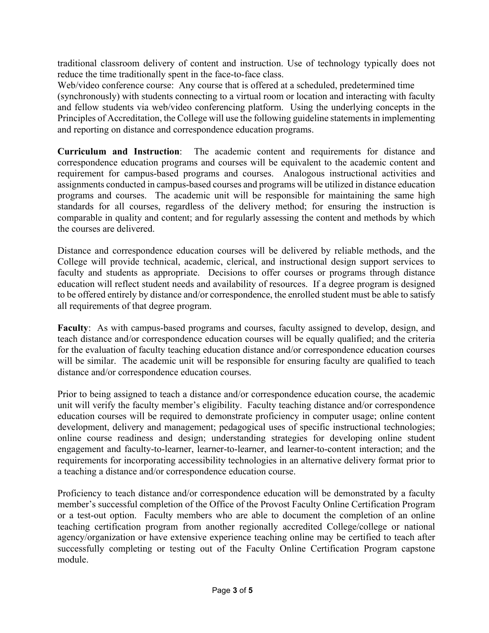traditional classroom delivery of content and instruction. Use of technology typically does not reduce the time traditionally spent in the face-to-face class.

Web/video conference course: Any course that is offered at a scheduled, predetermined time (synchronously) with students connecting to a virtual room or location and interacting with faculty and fellow students via web/video conferencing platform. Using the underlying concepts in the Principles of Accreditation, the College will use the following guideline statements in implementing and reporting on distance and correspondence education programs.

**Curriculum and Instruction**: The academic content and requirements for distance and correspondence education programs and courses will be equivalent to the academic content and requirement for campus-based programs and courses. Analogous instructional activities and assignments conducted in campus-based courses and programs will be utilized in distance education programs and courses. The academic unit will be responsible for maintaining the same high standards for all courses, regardless of the delivery method; for ensuring the instruction is comparable in quality and content; and for regularly assessing the content and methods by which the courses are delivered.

Distance and correspondence education courses will be delivered by reliable methods, and the College will provide technical, academic, clerical, and instructional design support services to faculty and students as appropriate. Decisions to offer courses or programs through distance education will reflect student needs and availability of resources. If a degree program is designed to be offered entirely by distance and/or correspondence, the enrolled student must be able to satisfy all requirements of that degree program.

**Faculty**: As with campus-based programs and courses, faculty assigned to develop, design, and teach distance and/or correspondence education courses will be equally qualified; and the criteria for the evaluation of faculty teaching education distance and/or correspondence education courses will be similar. The academic unit will be responsible for ensuring faculty are qualified to teach distance and/or correspondence education courses.

Prior to being assigned to teach a distance and/or correspondence education course, the academic unit will verify the faculty member's eligibility. Faculty teaching distance and/or correspondence education courses will be required to demonstrate proficiency in computer usage; online content development, delivery and management; pedagogical uses of specific instructional technologies; online course readiness and design; understanding strategies for developing online student engagement and faculty-to-learner, learner-to-learner, and learner-to-content interaction; and the requirements for incorporating accessibility technologies in an alternative delivery format prior to a teaching a distance and/or correspondence education course.

Proficiency to teach distance and/or correspondence education will be demonstrated by a faculty member's successful completion of the Office of the Provost Faculty Online Certification Program or a test-out option. Faculty members who are able to document the completion of an online teaching certification program from another regionally accredited College/college or national agency/organization or have extensive experience teaching online may be certified to teach after successfully completing or testing out of the Faculty Online Certification Program capstone module.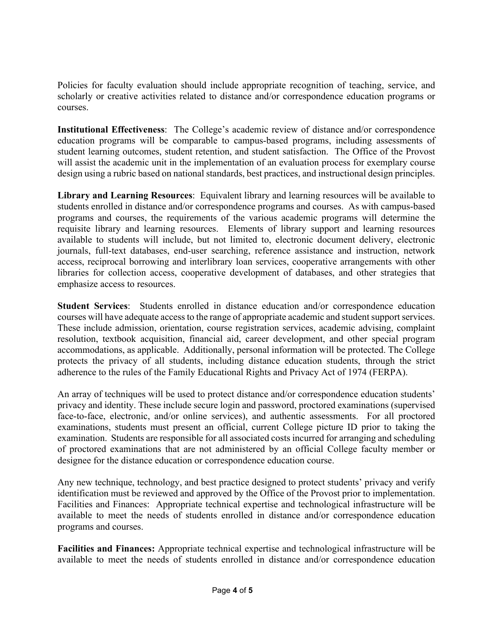Policies for faculty evaluation should include appropriate recognition of teaching, service, and scholarly or creative activities related to distance and/or correspondence education programs or courses.

**Institutional Effectiveness**: The College's academic review of distance and/or correspondence education programs will be comparable to campus-based programs, including assessments of student learning outcomes, student retention, and student satisfaction. The Office of the Provost will assist the academic unit in the implementation of an evaluation process for exemplary course design using a rubric based on national standards, best practices, and instructional design principles.

**Library and Learning Resources**: Equivalent library and learning resources will be available to students enrolled in distance and/or correspondence programs and courses. As with campus-based programs and courses, the requirements of the various academic programs will determine the requisite library and learning resources. Elements of library support and learning resources available to students will include, but not limited to, electronic document delivery, electronic journals, full-text databases, end-user searching, reference assistance and instruction, network access, reciprocal borrowing and interlibrary loan services, cooperative arrangements with other libraries for collection access, cooperative development of databases, and other strategies that emphasize access to resources.

**Student Services**: Students enrolled in distance education and/or correspondence education courses will have adequate access to the range of appropriate academic and student support services. These include admission, orientation, course registration services, academic advising, complaint resolution, textbook acquisition, financial aid, career development, and other special program accommodations, as applicable. Additionally, personal information will be protected. The College protects the privacy of all students, including distance education students, through the strict adherence to the rules of the Family Educational Rights and Privacy Act of 1974 (FERPA).

An array of techniques will be used to protect distance and/or correspondence education students' privacy and identity. These include secure login and password, proctored examinations (supervised face-to-face, electronic, and/or online services), and authentic assessments. For all proctored examinations, students must present an official, current College picture ID prior to taking the examination. Students are responsible for all associated costs incurred for arranging and scheduling of proctored examinations that are not administered by an official College faculty member or designee for the distance education or correspondence education course.

Any new technique, technology, and best practice designed to protect students' privacy and verify identification must be reviewed and approved by the Office of the Provost prior to implementation. Facilities and Finances: Appropriate technical expertise and technological infrastructure will be available to meet the needs of students enrolled in distance and/or correspondence education programs and courses.

**Facilities and Finances:** Appropriate technical expertise and technological infrastructure will be available to meet the needs of students enrolled in distance and/or correspondence education